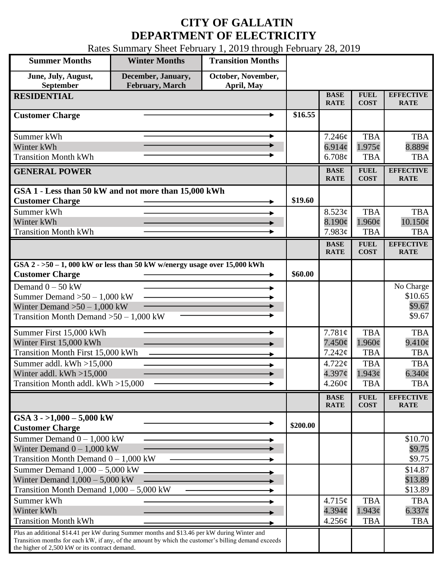## **CITY OF GALLATIN DEPARTMENT OF ELECTRICITY**

Rates Summary Sheet February 1, 2019 through February 28, 2019

| <b>Summer Months</b>                                                                                                                                                                                                                                 | <b>Winter Months</b>                         | <b>Transition Months</b>         |          |                            |                                     |                                 |
|------------------------------------------------------------------------------------------------------------------------------------------------------------------------------------------------------------------------------------------------------|----------------------------------------------|----------------------------------|----------|----------------------------|-------------------------------------|---------------------------------|
| June, July, August,<br>September                                                                                                                                                                                                                     | December, January,<br><b>February, March</b> | October, November,<br>April, May |          |                            |                                     |                                 |
| <b>RESIDENTIAL</b>                                                                                                                                                                                                                                   |                                              |                                  |          | <b>BASE</b><br><b>RATE</b> | <b>FUEL</b><br><b>COST</b>          | <b>EFFECTIVE</b><br><b>RATE</b> |
| <b>Customer Charge</b>                                                                                                                                                                                                                               |                                              |                                  | \$16.55  |                            |                                     |                                 |
| Summer kWh                                                                                                                                                                                                                                           |                                              | ►                                |          | 7.246¢                     | <b>TBA</b>                          | <b>TBA</b>                      |
| Winter kWh                                                                                                                                                                                                                                           |                                              |                                  |          | 6.914 $\phi$               | $1.975\phi$                         | $8.889$ ¢                       |
| <b>Transition Month kWh</b>                                                                                                                                                                                                                          |                                              |                                  |          | 6.708¢                     | <b>TBA</b>                          | <b>TBA</b>                      |
| <b>GENERAL POWER</b>                                                                                                                                                                                                                                 |                                              |                                  |          | <b>BASE</b><br><b>RATE</b> | <b>FUEL</b><br><b>COST</b>          | <b>EFFECTIVE</b><br><b>RATE</b> |
| GSA 1 - Less than 50 kW and not more than 15,000 kWh                                                                                                                                                                                                 |                                              |                                  |          |                            |                                     |                                 |
| <b>Customer Charge</b>                                                                                                                                                                                                                               |                                              |                                  | \$19.60  |                            |                                     |                                 |
| Summer kWh                                                                                                                                                                                                                                           |                                              |                                  |          | 8.523¢                     | <b>TBA</b>                          | <b>TBA</b>                      |
| Winter kWh<br><b>Transition Month kWh</b>                                                                                                                                                                                                            |                                              |                                  |          | 8.190¢<br>7.983¢           | $1.960\mathrm{\c{c}}$<br><b>TBA</b> | $10.150\phi$<br><b>TBA</b>      |
|                                                                                                                                                                                                                                                      |                                              |                                  |          | <b>BASE</b>                | <b>FUEL</b>                         | <b>EFFECTIVE</b>                |
|                                                                                                                                                                                                                                                      |                                              |                                  |          | <b>RATE</b>                | <b>COST</b>                         | <b>RATE</b>                     |
| GSA $2 - 50 - 1$ , 000 kW or less than 50 kW w/energy usage over 15,000 kWh                                                                                                                                                                          |                                              |                                  |          |                            |                                     |                                 |
| <b>Customer Charge</b>                                                                                                                                                                                                                               |                                              |                                  | \$60.00  |                            |                                     |                                 |
| Demand $0 - 50$ kW                                                                                                                                                                                                                                   |                                              |                                  |          |                            |                                     | No Charge                       |
| Summer Demand $>50 - 1,000$ kW                                                                                                                                                                                                                       |                                              |                                  |          |                            |                                     | \$10.65<br>\$9.67               |
| Winter Demand $>50 - 1,000$ kW<br>Transition Month Demand $>50-1,000$ kW                                                                                                                                                                             |                                              |                                  |          |                            |                                     | \$9.67                          |
|                                                                                                                                                                                                                                                      |                                              |                                  |          |                            |                                     |                                 |
| Summer First 15,000 kWh                                                                                                                                                                                                                              |                                              |                                  |          | 7.781¢                     | <b>TBA</b>                          | <b>TBA</b>                      |
| Winter First 15,000 kWh                                                                                                                                                                                                                              |                                              |                                  |          | $7.450\phi$                | 1.960c                              | $9.410\phi$                     |
| <b>Transition Month First 15,000 kWh</b>                                                                                                                                                                                                             |                                              |                                  |          | 7.242¢                     | <b>TBA</b>                          | <b>TBA</b>                      |
| Summer addl. kWh >15,000<br>Winter addl. $kWh > 15,000$                                                                                                                                                                                              |                                              |                                  |          | 4.722¢<br>4.397¢           | <b>TBA</b><br>1.943c                | <b>TBA</b><br>$6.340\varphi$    |
| Transition Month addl. kWh >15,000                                                                                                                                                                                                                   |                                              |                                  |          | $4.260\phi$                | <b>TBA</b>                          | <b>TBA</b>                      |
|                                                                                                                                                                                                                                                      |                                              |                                  |          |                            |                                     |                                 |
|                                                                                                                                                                                                                                                      |                                              |                                  |          | <b>BASE</b><br><b>RATE</b> | <b>FUEL</b><br><b>COST</b>          | <b>EFFECTIVE</b><br><b>RATE</b> |
| GSA $3 - 1,000 - 5,000$ kW<br><b>Customer Charge</b>                                                                                                                                                                                                 |                                              |                                  | \$200.00 |                            |                                     |                                 |
| Summer Demand $0 - 1,000$ kW                                                                                                                                                                                                                         |                                              |                                  |          |                            |                                     | \$10.70                         |
| Winter Demand $0 - 1,000$ kW                                                                                                                                                                                                                         |                                              |                                  |          |                            |                                     | \$9.75                          |
| Transition Month Demand $0 - 1,000$ kW                                                                                                                                                                                                               |                                              |                                  |          |                            |                                     | \$9.75                          |
| Summer Demand $1,000 - 5,000$ kW                                                                                                                                                                                                                     |                                              |                                  |          |                            |                                     | \$14.87                         |
| Winter Demand $1,000 - 5,000$ kW                                                                                                                                                                                                                     |                                              |                                  |          |                            |                                     | \$13.89                         |
| Transition Month Demand $1,000 - 5,000$ kW                                                                                                                                                                                                           |                                              |                                  |          |                            |                                     | \$13.89                         |
| Summer kWh                                                                                                                                                                                                                                           |                                              |                                  |          | 4.715¢                     | <b>TBA</b>                          | <b>TBA</b>                      |
| Winter kWh                                                                                                                                                                                                                                           |                                              |                                  |          | $4.394\mathcal{C}$         | $1.943\phi$                         | $6.337$ ¢                       |
| <b>Transition Month kWh</b>                                                                                                                                                                                                                          |                                              |                                  |          | 4.256¢                     | <b>TBA</b>                          | <b>TBA</b>                      |
| Plus an additional \$14.41 per kW during Summer months and \$13.46 per kW during Winter and<br>Transition months for each kW, if any, of the amount by which the customer's billing demand exceeds<br>the higher of 2,500 kW or its contract demand. |                                              |                                  |          |                            |                                     |                                 |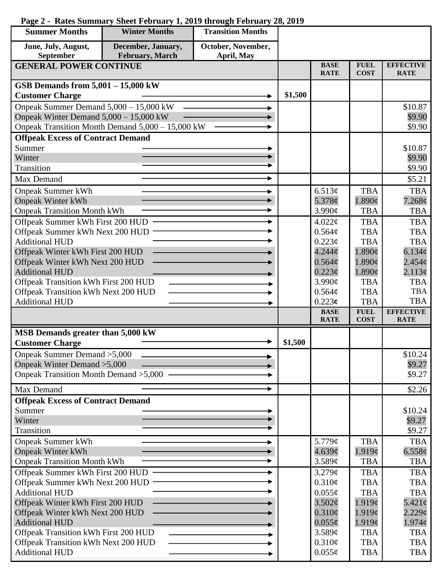| <b>Summer Months</b>                                         | <b>Winter Months</b>                             | <b>Transition Months</b> |         |                            |                                     |                                 |
|--------------------------------------------------------------|--------------------------------------------------|--------------------------|---------|----------------------------|-------------------------------------|---------------------------------|
| June, July, August,                                          | December, January,                               | October, November,       |         |                            |                                     |                                 |
| September                                                    | <b>February, March</b>                           | April, May               |         |                            |                                     |                                 |
| <b>GENERAL POWER CONTINUE</b>                                |                                                  |                          |         | <b>BASE</b><br><b>RATE</b> | <b>FUEL</b><br><b>COST</b>          | <b>EFFECTIVE</b><br><b>RATE</b> |
| GSB Demands from 5,001 - 15,000 kW                           |                                                  |                          |         |                            |                                     |                                 |
| <b>Customer Charge</b>                                       |                                                  |                          | \$1,500 |                            |                                     |                                 |
| Onpeak Summer Demand 5,000 - 15,000 kW                       |                                                  |                          |         |                            |                                     | \$10.87                         |
| Onpeak Winter Demand $5,000 - 15,000$ kW                     |                                                  |                          |         |                            |                                     | \$9.90                          |
|                                                              | Onpeak Transition Month Demand 5,000 - 15,000 kW |                          |         |                            |                                     | \$9.90                          |
| <b>Offpeak Excess of Contract Demand</b>                     |                                                  |                          |         |                            |                                     |                                 |
| Summer                                                       |                                                  |                          |         |                            |                                     | \$10.87                         |
| Winter                                                       |                                                  |                          |         |                            |                                     | \$9.90                          |
| Transition                                                   |                                                  |                          |         |                            |                                     | \$9.90                          |
| Max Demand                                                   |                                                  |                          |         |                            |                                     | \$5.21                          |
| <b>Onpeak Summer kWh</b>                                     |                                                  |                          |         | 6.513¢                     | <b>TBA</b>                          | <b>TBA</b>                      |
| <b>Onpeak Winter kWh</b>                                     |                                                  |                          |         | 5.378¢                     | $1.890\mathrm{\c{c}}$               | 7.268¢                          |
| <b>Onpeak Transition Month kWh</b>                           |                                                  |                          |         | 3.990¢                     | <b>TBA</b>                          | <b>TBA</b>                      |
| Offpeak Summer kWh First 200 HUD                             |                                                  |                          |         | 4.022¢                     | <b>TBA</b>                          | <b>TBA</b>                      |
| Offpeak Summer kWh Next 200 HUD -                            |                                                  |                          |         | 0.564¢                     | <b>TBA</b>                          | <b>TBA</b>                      |
| <b>Additional HUD</b>                                        |                                                  |                          |         | 0.223¢                     | <b>TBA</b>                          | <b>TBA</b>                      |
| Offpeak Winter kWh First 200 HUD                             |                                                  |                          |         | 4.244 <sub>c</sub>         | $1.890\text{¢}$                     | 6.134¢                          |
| Offpeak Winter kWh Next 200 HUD                              |                                                  |                          |         | $0.564\mathcal{C}$         | $1.890\mathrm{\c{c}}$               | $2.454\mathcal{C}$              |
| <b>Additional HUD</b>                                        |                                                  |                          |         | $0.223\phi$<br>3.990¢      | $1.890\mathrm{\c{c}}$<br><b>TBA</b> | 2.113¢<br><b>TBA</b>            |
| Offpeak Transition kWh First 200 HUD                         |                                                  |                          |         | 0.564¢                     | <b>TBA</b>                          | <b>TBA</b>                      |
| Offpeak Transition kWh Next 200 HUD<br><b>Additional HUD</b> |                                                  |                          |         | $0.223\epsilon$            | <b>TBA</b>                          | <b>TBA</b>                      |
|                                                              |                                                  |                          |         | <b>BASE</b>                | <b>FUEL</b>                         | <b>EFFECTIVE</b>                |
|                                                              |                                                  |                          |         | <b>RATE</b>                | <b>COST</b>                         | <b>RATE</b>                     |
| <b>MSB Demands greater than 5,000 kW</b>                     |                                                  |                          |         |                            |                                     |                                 |
| <b>Customer Charge</b>                                       |                                                  |                          | \$1,500 |                            |                                     |                                 |
| Onpeak Summer Demand > 5,000                                 |                                                  |                          |         |                            |                                     | \$10.24                         |
| Onpeak Winter Demand > 5,000                                 |                                                  |                          |         |                            |                                     | \$9.27                          |
|                                                              | Onpeak Transition Month Demand > 5,000           |                          |         |                            |                                     | \$9.27                          |
| Max Demand                                                   |                                                  |                          |         |                            |                                     | \$2.26                          |
| <b>Offpeak Excess of Contract Demand</b>                     |                                                  |                          |         |                            |                                     |                                 |
| Summer                                                       |                                                  |                          |         |                            |                                     | \$10.24                         |
| Winter                                                       |                                                  |                          |         |                            |                                     | \$9.27                          |
| Transition                                                   |                                                  |                          |         |                            |                                     | \$9.27                          |
| <b>Onpeak Summer kWh</b>                                     |                                                  |                          |         | 5.779¢                     | <b>TBA</b>                          | <b>TBA</b>                      |
| <b>Onpeak Winter kWh</b>                                     |                                                  |                          |         | 4.639¢                     | 1.919¢                              | 6.558¢                          |
| <b>Onpeak Transition Month kWh</b>                           |                                                  |                          |         | 3.589¢                     | <b>TBA</b>                          | <b>TBA</b>                      |
| Offpeak Summer kWh First 200 HUD                             |                                                  |                          |         | 3.279¢                     | <b>TBA</b><br><b>TBA</b>            | <b>TBA</b>                      |
| Offpeak Summer kWh Next 200 HUD<br><b>Additional HUD</b>     |                                                  |                          |         | $0.310\phi$<br>$0.055\phi$ | <b>TBA</b>                          | <b>TBA</b><br><b>TBA</b>        |
| Offpeak Winter kWh First 200 HUD                             |                                                  |                          |         | 3.502¢                     | 1.919c                              | $5.421\phi$                     |
| Offpeak Winter kWh Next 200 HUD                              |                                                  |                          |         | $0.310\phi$                | 1.919c                              | $2.229$ ¢                       |
| <b>Additional HUD</b>                                        |                                                  |                          |         | $0.055\phi$                | 1.919¢                              | $1.974\phi$                     |
| Offpeak Transition kWh First 200 HUD                         |                                                  |                          |         | 3.589¢                     | <b>TBA</b>                          | <b>TBA</b>                      |
| Offpeak Transition kWh Next 200 HUD                          |                                                  |                          |         | 0.310¢                     | <b>TBA</b>                          | <b>TBA</b>                      |
| <b>Additional HUD</b>                                        |                                                  |                          |         | $0.055\phi$                | <b>TBA</b>                          | <b>TBA</b>                      |

## **Page 2 - Rates Summary Sheet February 1, 2019 through February 28, 2019**